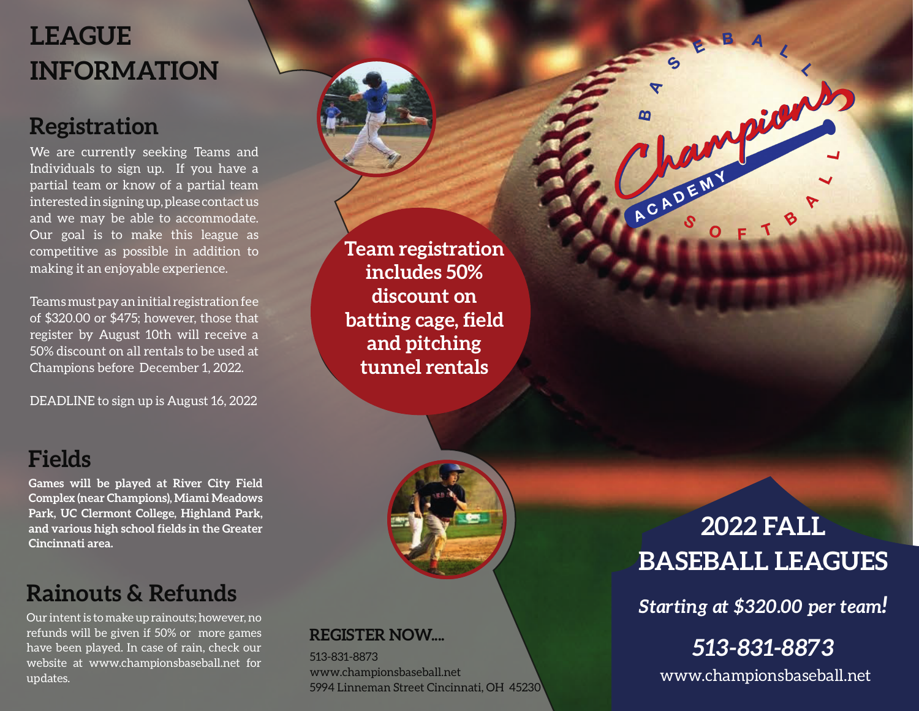# **LEAGUE INFORMATION**

## **Registration**

We are currently seeking Teams and Individuals to sign up. If you have a partial team or know of a partial team interestedinsigningup,pleasecontactus and we may be able to accommodate. Our goal is to make this league as competitive as possible in addition to making it an enjoyable experience.

Teams must pay an initial registration fee of \$320.00 or \$475; however, those that register by August 10th will receive a 50% discount on all rentals to be used at Champions before December 1, 2022.

DEADLINE to sign up is August 16, 2022

**Games will be played at River City Field Complex (near Champions), Miami Meadows Park, UC Clermont College, Highland Park, and various high school fields in the Greater**

**Fields**

**Cincinnati area.**

**Team registration includes 50% discount on batting cage, field and pitching tunnel rentals**



**REGISTER NOW....**

www.championsbaseball.net

5994 Linneman Street Cincinnati, OH 45230

513-831-8873

## **Rainouts & Refunds**

Our intentis to make uprainouts; however, no refunds will be given if 50% or more games have been played. In case of rain, check our website at www.championsbaseball.net for updates.

## **2022 FALL BASEBALL LEAGUES**

hampions

ACADER

*Starting at \$320.00 per team!*

# *513-831-8873*

www.championsbaseball.net